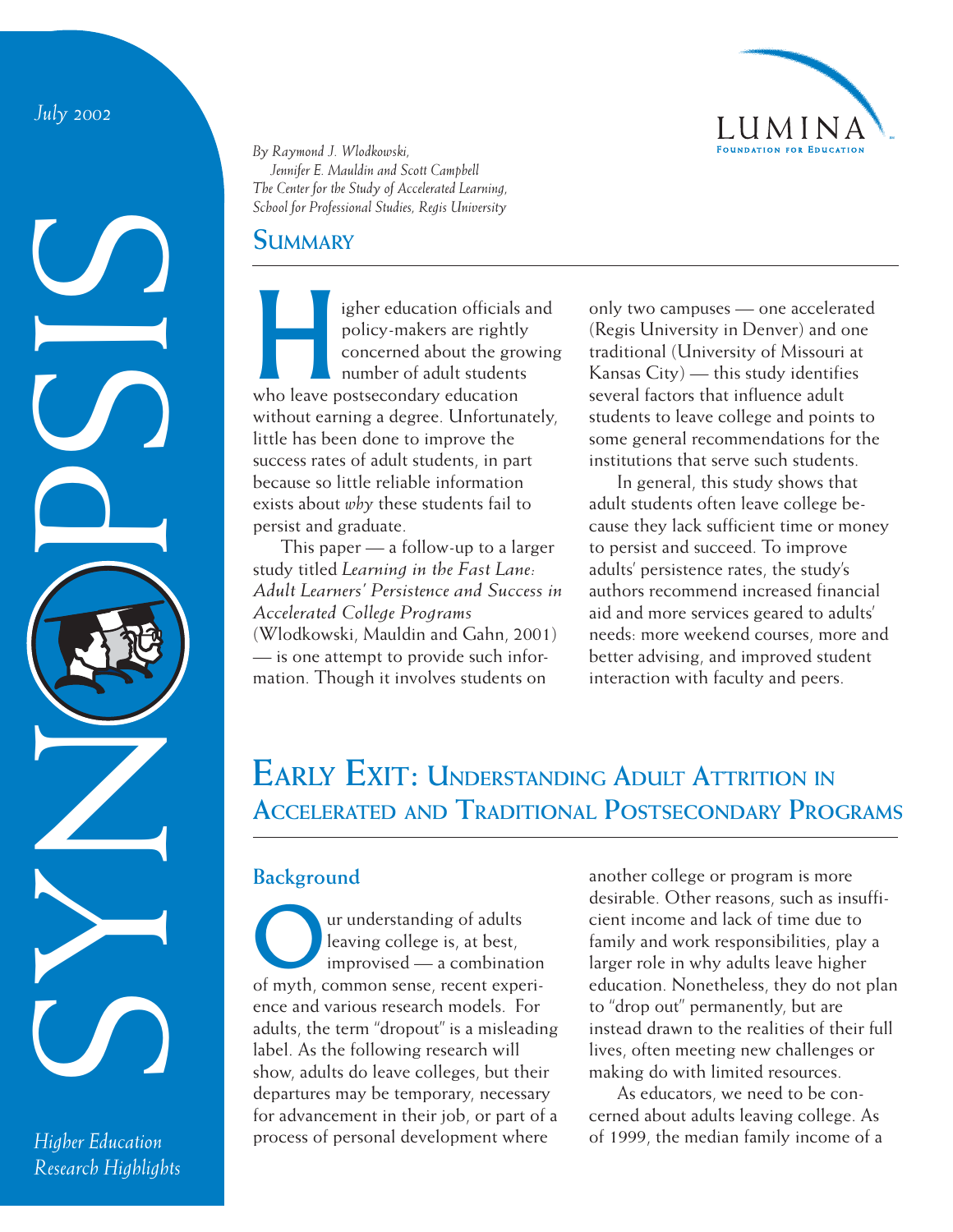*July 2002*

SYNOPSIS<br>SYNOPSIS

*Higher Education Research Highlights*



*By Raymond J. Wlodkowski, Jennifer E. Mauldin and Scott Campbell The Center for the Study of Accelerated Learning, School for Professional Studies, Regis University*

### **SUMMARY**

Figher education officials and policy-makers are rightly concerned about the growin<br>number of adult students<br>who leave postsecondary education policy-makers are rightly concerned about the growing number of adult students without earning a degree. Unfortunately, little has been done to improve the success rates of adult students, in part because so little reliable information exists about *why* these students fail to persist and graduate.

This paper — a follow-up to a larger study titled *Learning in the Fast Lane: Adult Learners' Persistence and Success in Accelerated College Programs* (Wlodkowski, Mauldin and Gahn, 2001) — is one attempt to provide such information. Though it involves students on

only two campuses — one accelerated (Regis University in Denver) and one traditional (University of Missouri at Kansas City) — this study identifies several factors that influence adult students to leave college and points to some general recommendations for the institutions that serve such students.

In general, this study shows that adult students often leave college because they lack sufficient time or money to persist and succeed. To improve adults' persistence rates, the study's authors recommend increased financial aid and more services geared to adults' needs: more weekend courses, more and better advising, and improved student interaction with faculty and peers.

# **EARLY EXIT: UNDERSTANDING ADULT ATTRITION IN ACCELERATED AND TRADITIONAL POSTSECONDARY PROGRAMS**

## **Background**

Our understanding of adults<br>leaving college is, at best,<br>improvised — a combinat leaving college is, at best, improvised — a combination of myth, common sense, recent experience and various research models. For adults, the term "dropout" is a misleading label. As the following research will show, adults do leave colleges, but their departures may be temporary, necessary for advancement in their job, or part of a process of personal development where

another college or program is more desirable. Other reasons, such as insufficient income and lack of time due to family and work responsibilities, play a larger role in why adults leave higher education. Nonetheless, they do not plan to "drop out" permanently, but are instead drawn to the realities of their full lives, often meeting new challenges or making do with limited resources.

As educators, we need to be concerned about adults leaving college. As of 1999, the median family income of a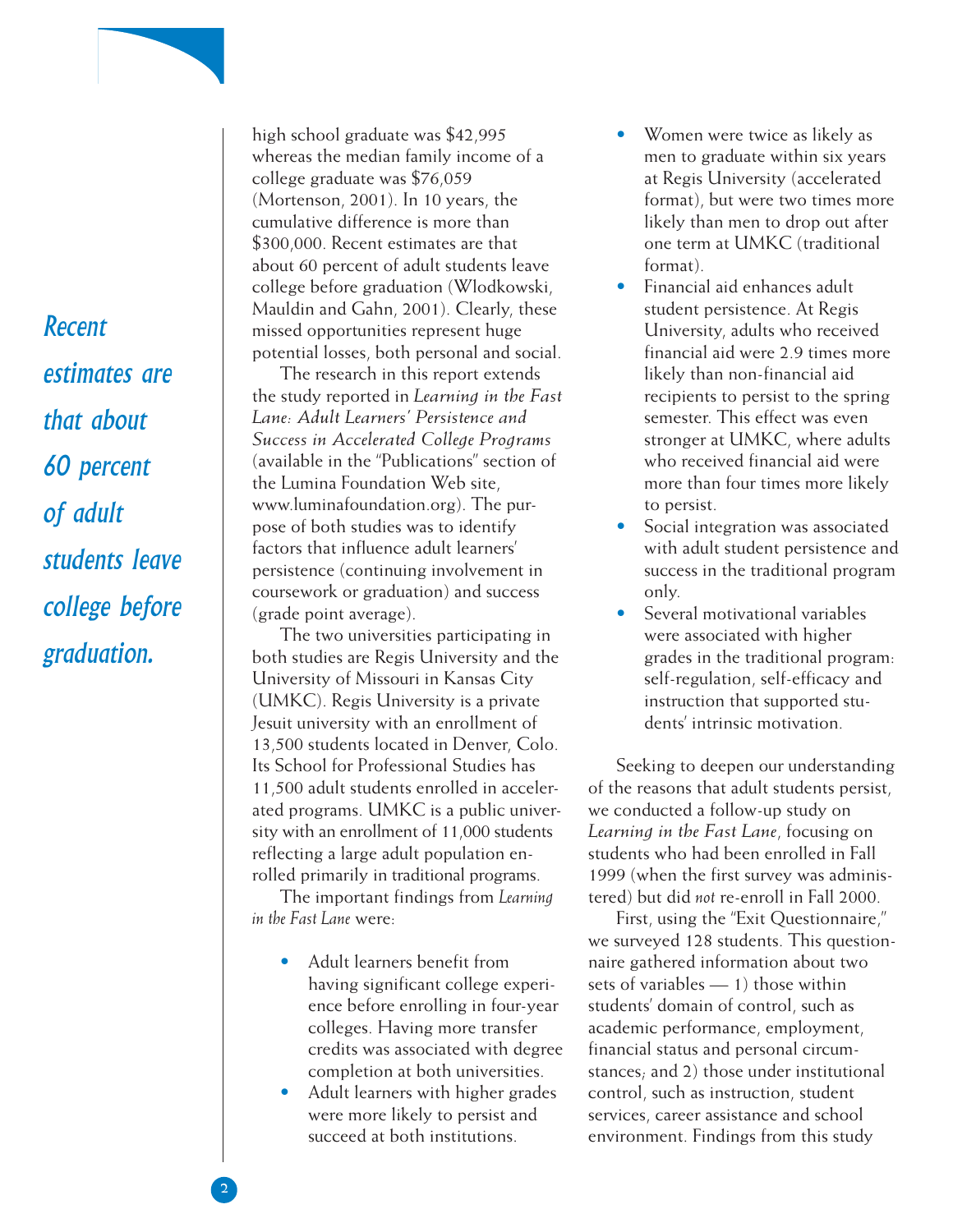*Recent estimates are that about 60 percent of adult students leave college before graduation.*

high school graduate was \$42,995 whereas the median family income of a college graduate was \$76,059 (Mortenson, 2001). In 10 years, the cumulative difference is more than \$300,000. Recent estimates are that about 60 percent of adult students leave college before graduation (Wlodkowski, Mauldin and Gahn, 2001). Clearly, these missed opportunities represent huge potential losses, both personal and social.

The research in this report extends the study reported in *Learning in the Fast Lane: Adult Learners' Persistence and Success in Accelerated College Programs* (available in the "Publications" section of the Lumina Foundation Web site, www.luminafoundation.org). The purpose of both studies was to identify factors that influence adult learners' persistence (continuing involvement in coursework or graduation) and success (grade point average).

The two universities participating in both studies are Regis University and the University of Missouri in Kansas City (UMKC). Regis University is a private Jesuit university with an enrollment of 13,500 students located in Denver, Colo. Its School for Professional Studies has 11,500 adult students enrolled in accelerated programs. UMKC is a public university with an enrollment of 11,000 students reflecting a large adult population enrolled primarily in traditional programs.

The important findings from *Learning in the Fast Lane* were:

- Adult learners benefit from having significant college experience before enrolling in four-year colleges. Having more transfer credits was associated with degree completion at both universities.
- Adult learners with higher grades were more likely to persist and succeed at both institutions.
- Women were twice as likely as men to graduate within six years at Regis University (accelerated format), but were two times more likely than men to drop out after one term at UMKC (traditional format).
- Financial aid enhances adult student persistence. At Regis University, adults who received financial aid were 2.9 times more likely than non-financial aid recipients to persist to the spring semester. This effect was even stronger at UMKC, where adults who received financial aid were more than four times more likely to persist.
- Social integration was associated with adult student persistence and success in the traditional program only.
- Several motivational variables were associated with higher grades in the traditional program: self-regulation, self-efficacy and instruction that supported students' intrinsic motivation.

Seeking to deepen our understanding of the reasons that adult students persist, we conducted a follow-up study on *Learning in the Fast Lane*, focusing on students who had been enrolled in Fall 1999 (when the first survey was administered) but did *not* re-enroll in Fall 2000.

First, using the "Exit Questionnaire," we surveyed 128 students. This questionnaire gathered information about two sets of variables — 1) those within students' domain of control, such as academic performance, employment, financial status and personal circumstances; and 2) those under institutional control, such as instruction, student services, career assistance and school environment. Findings from this study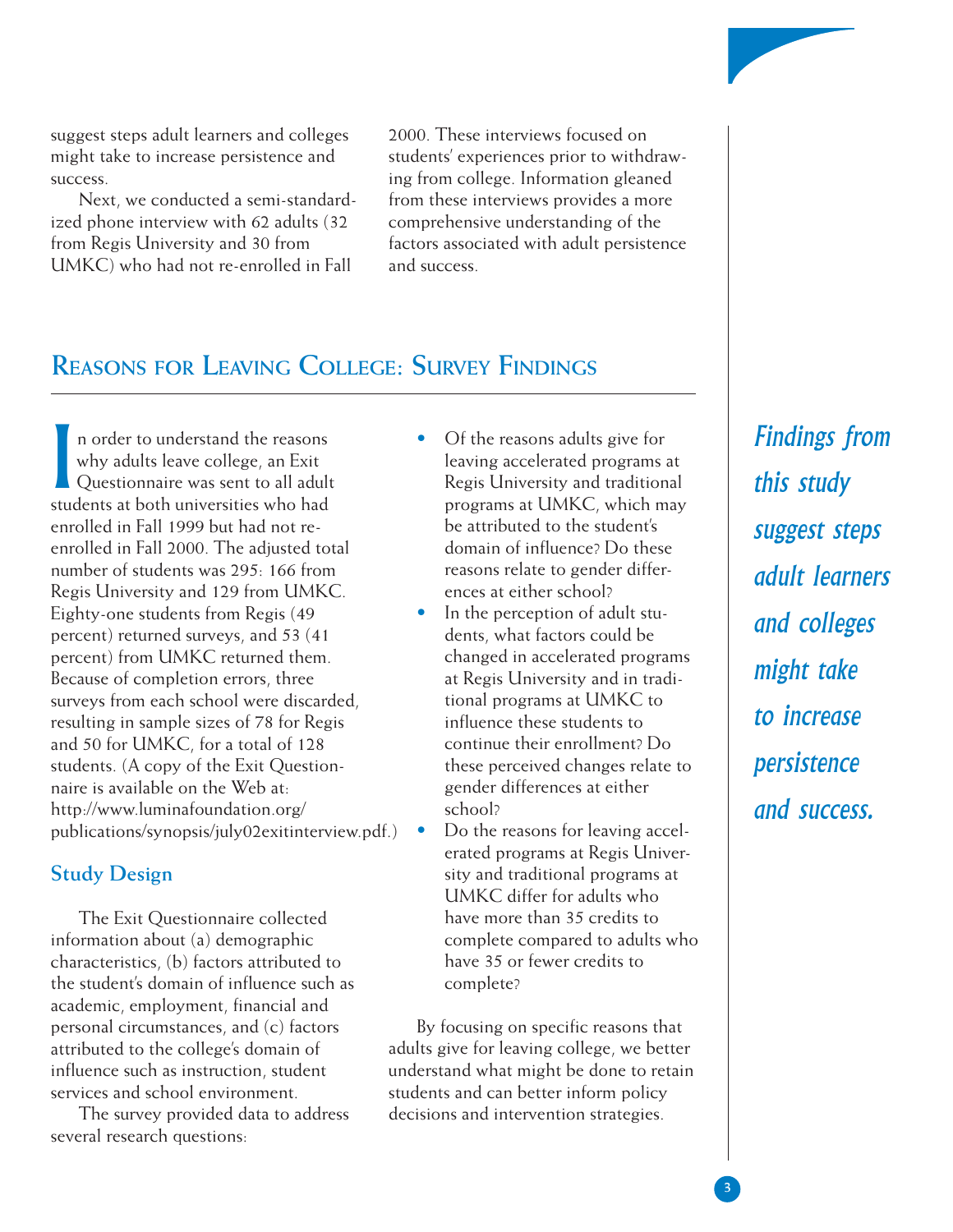suggest steps adult learners and colleges might take to increase persistence and success.

Next, we conducted a semi-standardized phone interview with 62 adults (32 from Regis University and 30 from UMKC) who had not re-enrolled in Fall

2000. These interviews focused on students' experiences prior to withdrawing from college. Information gleaned from these interviews provides a more comprehensive understanding of the factors associated with adult persistence and success.

# **REASONS FOR LEAVING COLLEGE: SURVEY FINDINGS**

I n order to understand the reasons why adults leave college, an Exit Questionnaire was sent to all adult students at both universities who had enrolled in Fall 1999 but had not reenrolled in Fall 2000. The adjusted total number of students was 295: 166 from Regis University and 129 from UMKC. Eighty-one students from Regis (49 percent) returned surveys, and 53 (41 percent) from UMKC returned them. Because of completion errors, three surveys from each school were discarded, resulting in sample sizes of 78 for Regis and 50 for UMKC, for a total of 128 students. (A copy of the [Exit Question](http://www.luminafoundation.org/publications/synopsis/july02exitinterview.pdf)[naire](http://www.luminafoundation.org/publications/synopsis/july02exitinterview.pdf) is available on the Web at: http://www [.luminafoundation.org/](http://www.luminafoundation.org/publications/synopsis/july02exitinterview.pdf) publications/synopsis/july02exitinterview.pdf.)

### **Study Design**

The Exit Questionnaire collected information about (a) demographic characteristics, (b) factors attributed to the student's domain of influence such as academic, employment, financial and personal circumstances, and (c) factors attributed to the college's domain of influence such as instruction, student services and school environment.

The survey provided data to address several research questions:

- Of the reasons adults give for leaving accelerated programs at Regis University and traditional programs at UMKC, which may be attributed to the student's domain of influence? Do these reasons relate to gender differences at either school?
- In the perception of adult students, what factors could be changed in accelerated programs at Regis University and in traditional programs at UMKC to influence these students to continue their enrollment? Do these perceived changes relate to gender differences at either school?
- Do the reasons for leaving accelerated programs at Regis University and traditional programs at UMKC differ for adults who have more than 35 credits to complete compared to adults who have 35 or fewer credits to complete?

By focusing on specific reasons that adults give for leaving college, we better understand what might be done to retain students and can better inform policy decisions and intervention strategies.

*Findings from this study suggest steps adult learners and colleges might take to increase persistence and success.*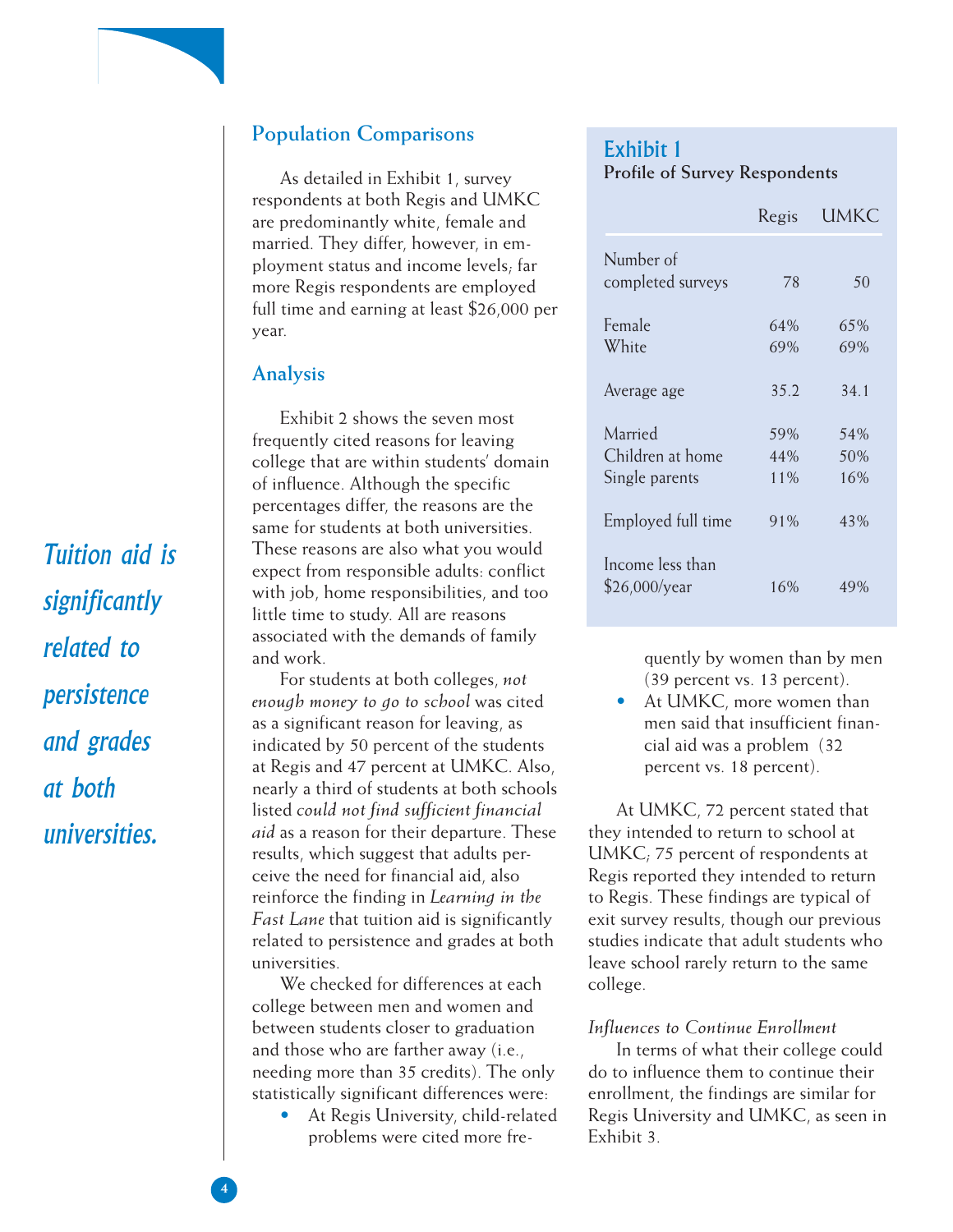

As detailed in Exhibit 1, survey respondents at both Regis and UMKC are predominantly white, female and married. They differ, however, in employment status and income levels; far more Regis respondents are employed full time and earning at least \$26,000 per year.

## **Analysis**

Exhibit 2 shows the seven most frequently cited reasons for leaving college that are within students' domain of influence. Although the specific percentages differ, the reasons are the same for students at both universities. These reasons are also what you would expect from responsible adults: conflict with job, home responsibilities, and too little time to study. All are reasons associated with the demands of family and work.

For students at both colleges, *not enough money to go to school* was cited as a significant reason for leaving, as indicated by 50 percent of the students at Regis and 47 percent at UMKC. Also, nearly a third of students at both schools listed *could not find sufficient financial aid* as a reason for their departure. These results, which suggest that adults perceive the need for financial aid, also reinforce the finding in *Learning in the Fast Lane* that tuition aid is significantly related to persistence and grades at both universities.

We checked for differences at each college between men and women and between students closer to graduation and those who are farther away (i.e., needing more than 35 credits). The only statistically significant differences were:

• At Regis University, child-related problems were cited more fre-

### Exhibit 1 **Profile of Survey Respondents**

|                                   | Regis | UMKC |
|-----------------------------------|-------|------|
| Number of                         |       |      |
| completed surveys                 | 78    | 50   |
| Female                            | 64%   | 65%  |
| White                             | 69%   | 69%  |
| Average age                       | 35.2  | 34.1 |
| Married                           | 59%   | 54%  |
| Children at home                  | 44%   | 50%  |
| Single parents                    | 11%   | 16%  |
| Employed full time                | 91%   | 43%  |
| Income less than<br>\$26,000/year | 16%   | 49%  |

quently by women than by men (39 percent vs. 13 percent).

• At UMKC, more women than men said that insufficient financial aid was a problem (32 percent vs. 18 percent).

At UMKC, 72 percent stated that they intended to return to school at UMKC; 75 percent of respondents at Regis reported they intended to return to Regis. These findings are typical of exit survey results, though our previous studies indicate that adult students who leave school rarely return to the same college.

### *Influences to Continue Enrollment*

In terms of what their college could do to influence them to continue their enrollment, the findings are similar for Regis University and UMKC, as seen in Exhibit 3.

*Tuition aid is significantly related to persistence and grades at both universities.*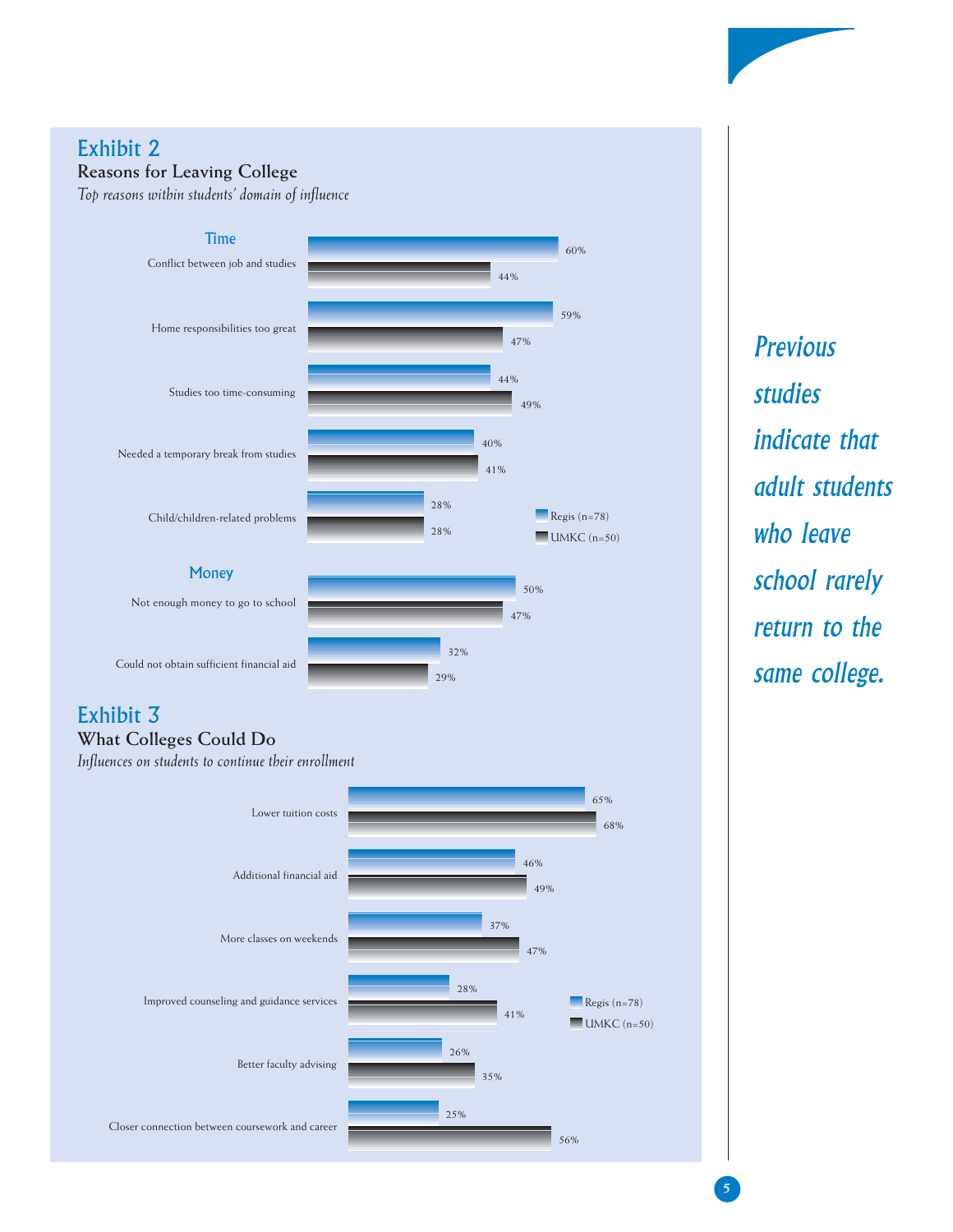### Exhibit 2 **Reasons for Leaving College**

*Top reasons within students' domain of influence*



### Exhibit 3 **What Colleges Could Do**

*Influences on students to continue their enrollment*



*Previous studies indicate that adult students who leave school rarely return to the same college.*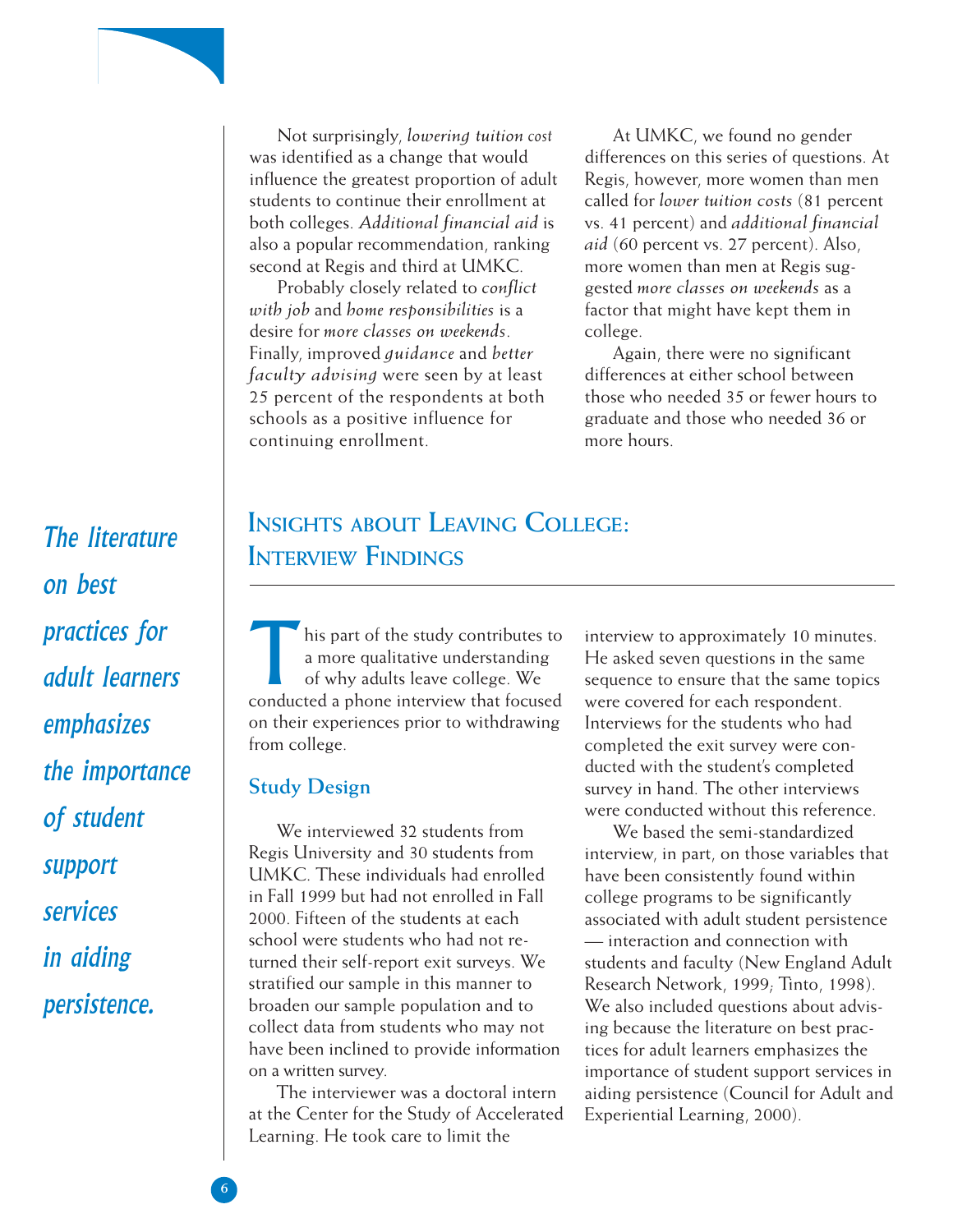

Not surprisingly, *lowering tuition cost* was identified as a change that would influence the greatest proportion of adult students to continue their enrollment at both colleges. *Additional financial aid* is also a popular recommendation, ranking second at Regis and third at UMKC.

Probably closely related to *conflict with job* and *home responsibilities* is a desire for *more classes on weekends*. Finally, improved *guidance* and *better faculty advising* were seen by at least 25 percent of the respondents at both schools as a positive influence for continuing enrollment.

At UMKC, we found no gender differences on this series of questions. At Regis, however, more women than men called for *lower tuition costs* (81 percent vs. 41 percent) and *additional financial aid* (60 percent vs. 27 percent). Also, more women than men at Regis suggested *more classes on weekends* as a factor that might have kept them in college.

Again, there were no significant differences at either school between those who needed 35 or fewer hours to graduate and those who needed 36 or more hours.

# *The literature on best practices for adult learners emphasizes the importance of student support services in aiding persistence.*

# **INSIGHTS ABOUT LEAVING COLLEGE: INTERVIEW FINDINGS**

his part of the study contributes to a more qualitative understanding of why adults leave college. We conducted a phone interview that focused on their experiences prior to withdrawing from college.

### **Study Design**

We interviewed 32 students from Regis University and 30 students from UMKC. These individuals had enrolled in Fall 1999 but had not enrolled in Fall 2000. Fifteen of the students at each school were students who had not returned their self-report exit surveys. We stratified our sample in this manner to broaden our sample population and to collect data from students who may not have been inclined to provide information on a written survey.

The interviewer was a doctoral intern at the Center for the Study of Accelerated Learning. He took care to limit the

interview to approximately 10 minutes. He asked seven questions in the same sequence to ensure that the same topics were covered for each respondent. Interviews for the students who had completed the exit survey were conducted with the student's completed survey in hand. The other interviews were conducted without this reference.

We based the semi-standardized interview, in part, on those variables that have been consistently found within college programs to be significantly associated with adult student persistence — interaction and connection with students and faculty (New England Adult Research Network, 1999; Tinto, 1998). We also included questions about advising because the literature on best practices for adult learners emphasizes the importance of student support services in aiding persistence (Council for Adult and Experiential Learning, 2000).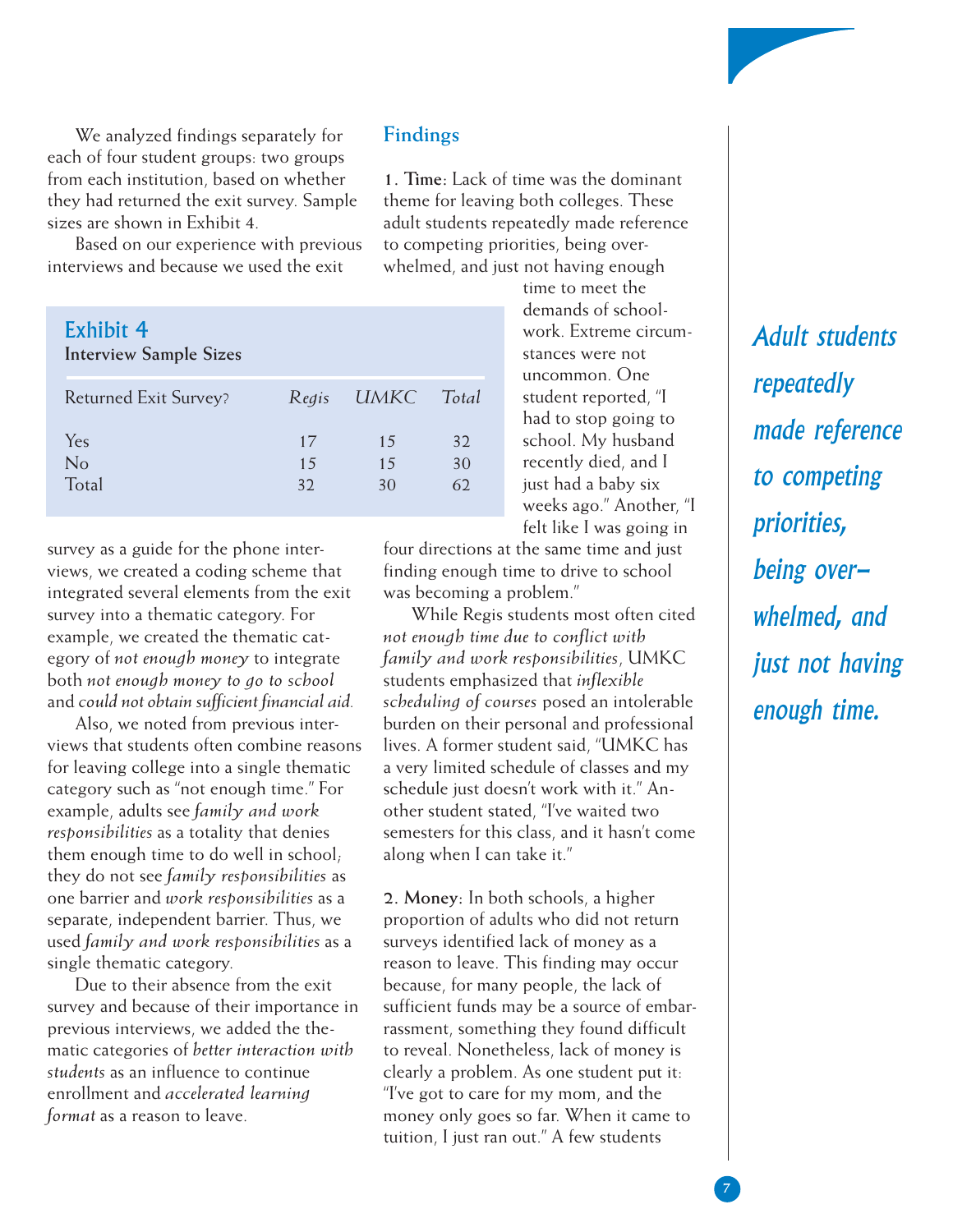

We analyzed findings separately for each of four student groups: two groups from each institution, based on whether they had returned the exit survey. Sample sizes are shown in Exhibit 4.

Based on our experience with previous interviews and because we used the exit

| Exhibit 4<br><b>Interview Sample Sizes</b> |                |                |                |
|--------------------------------------------|----------------|----------------|----------------|
| <b>Returned Exit Survey?</b>               | Regis          | UMKC           | Total          |
| Yes<br>No<br>Total                         | 17<br>15<br>32 | 15<br>15<br>30 | 32<br>30<br>62 |

survey as a guide for the phone interviews, we created a coding scheme that integrated several elements from the exit survey into a thematic category. For example, we created the thematic category of *not enough money* to integrate both *not enough money to go to school* and *could not obtain sufficient financial aid.*

Also, we noted from previous interviews that students often combine reasons for leaving college into a single thematic category such as "not enough time." For example, adults see *family and work responsibilities* as a totality that denies them enough time to do well in school; they do not see *family responsibilities* as one barrier and *work responsibilities* as a separate, independent barrier. Thus, we used *family and work responsibilities* as a single thematic category.

Due to their absence from the exit survey and because of their importance in previous interviews, we added the thematic categories of *better interaction with students* as an influence to continue enrollment and *accelerated learning format* as a reason to leave.

### **Findings**

**1. Time:** Lack of time was the dominant theme for leaving both colleges. These adult students repeatedly made reference to competing priorities, being overwhelmed, and just not having enough

> time to meet the demands of schoolwork. Extreme circumstances were not uncommon. One student reported, "I had to stop going to school. My husband recently died, and I just had a baby six weeks ago." Another, "I felt like I was going in

four directions at the same time and just finding enough time to drive to school was becoming a problem."

While Regis students most often cited *not enough time due to conflict with family and work responsibilities*, UMKC students emphasized that *inflexible scheduling of courses* posed an intolerable burden on their personal and professional lives. A former student said, "UMKC has a very limited schedule of classes and my schedule just doesn't work with it." Another student stated, "I've waited two semesters for this class, and it hasn't come along when I can take it."

**2. Money:** In both schools, a higher proportion of adults who did not return surveys identified lack of money as a reason to leave. This finding may occur because, for many people, the lack of sufficient funds may be a source of embarrassment, something they found difficult to reveal. Nonetheless, lack of money is clearly a problem. As one student put it: "I've got to care for my mom, and the money only goes so far. When it came to tuition, I just ran out." A few students

*Adult students repeatedly made reference to competing priorities, being overwhelmed, and just not having enough time.*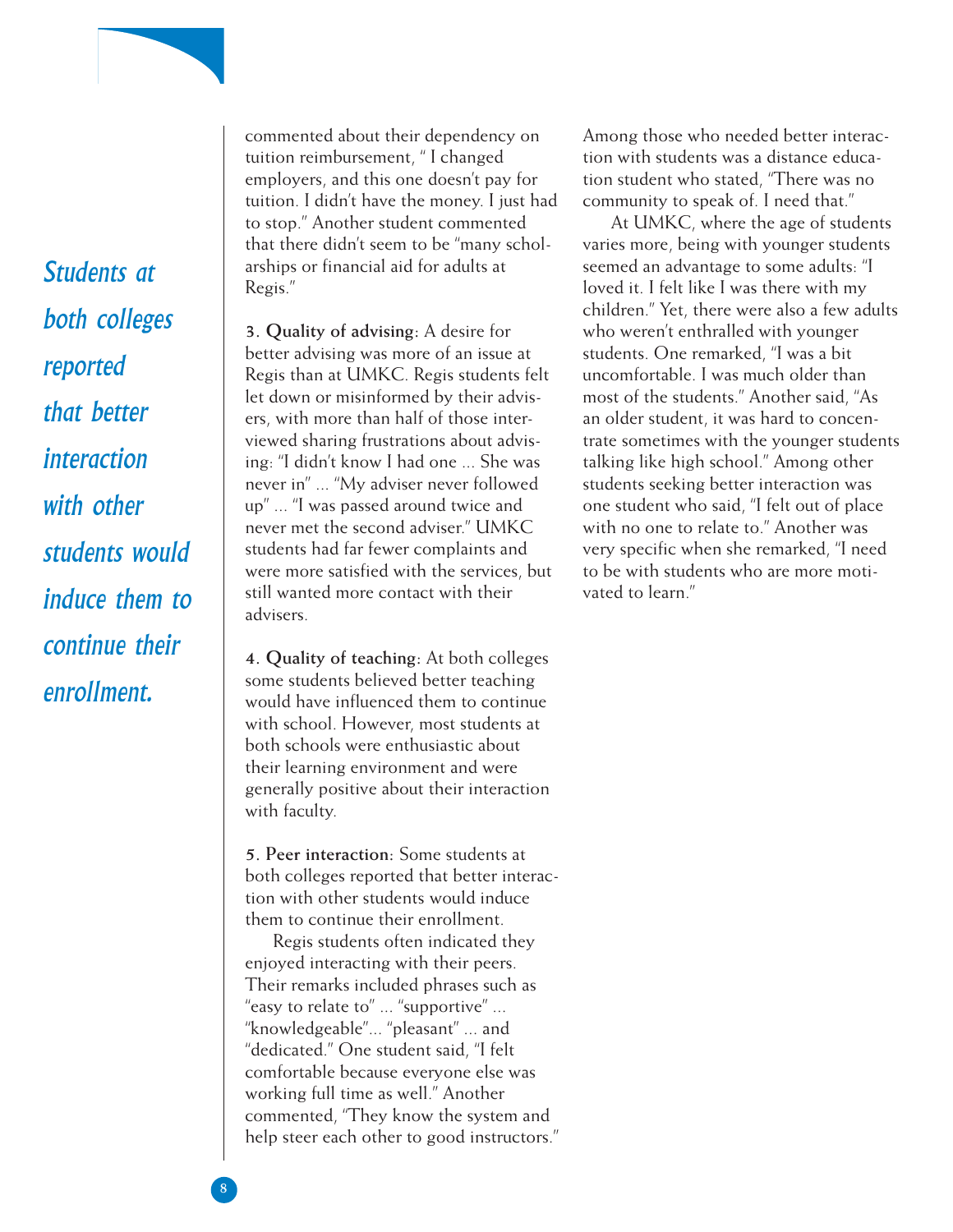*Students at both colleges reported that better interaction with other students would induce them to continue their enrollment.*

commented about their dependency on tuition reimbursement, " I changed employers, and this one doesn't pay for tuition. I didn't have the money. I just had to stop." Another student commented that there didn't seem to be "many scholarships or financial aid for adults at Regis."

**3. Quality of advising:** A desire for better advising was more of an issue at Regis than at UMKC. Regis students felt let down or misinformed by their advisers, with more than half of those interviewed sharing frustrations about advising: "I didn't know I had one ... She was never in" ... "My adviser never followed up" ... "I was passed around twice and never met the second adviser." UMKC students had far fewer complaints and were more satisfied with the services, but still wanted more contact with their advisers.

**4. Quality of teaching:** At both colleges some students believed better teaching would have influenced them to continue with school. However, most students at both schools were enthusiastic about their learning environment and were generally positive about their interaction with faculty.

**5. Peer interaction:** Some students at both colleges reported that better interaction with other students would induce them to continue their enrollment.

Regis students often indicated they enjoyed interacting with their peers. Their remarks included phrases such as "easy to relate to" ... "supportive" ... "knowledgeable"... "pleasant" ... and "dedicated." One student said, "I felt comfortable because everyone else was working full time as well." Another commented, "They know the system and help steer each other to good instructors." Among those who needed better interaction with students was a distance education student who stated, "There was no community to speak of. I need that."

At UMKC, where the age of students varies more, being with younger students seemed an advantage to some adults: "I loved it. I felt like I was there with my children." Yet, there were also a few adults who weren't enthralled with younger students. One remarked, "I was a bit uncomfortable. I was much older than most of the students." Another said, "As an older student, it was hard to concentrate sometimes with the younger students talking like high school." Among other students seeking better interaction was one student who said, "I felt out of place with no one to relate to." Another was very specific when she remarked, "I need to be with students who are more motivated to learn."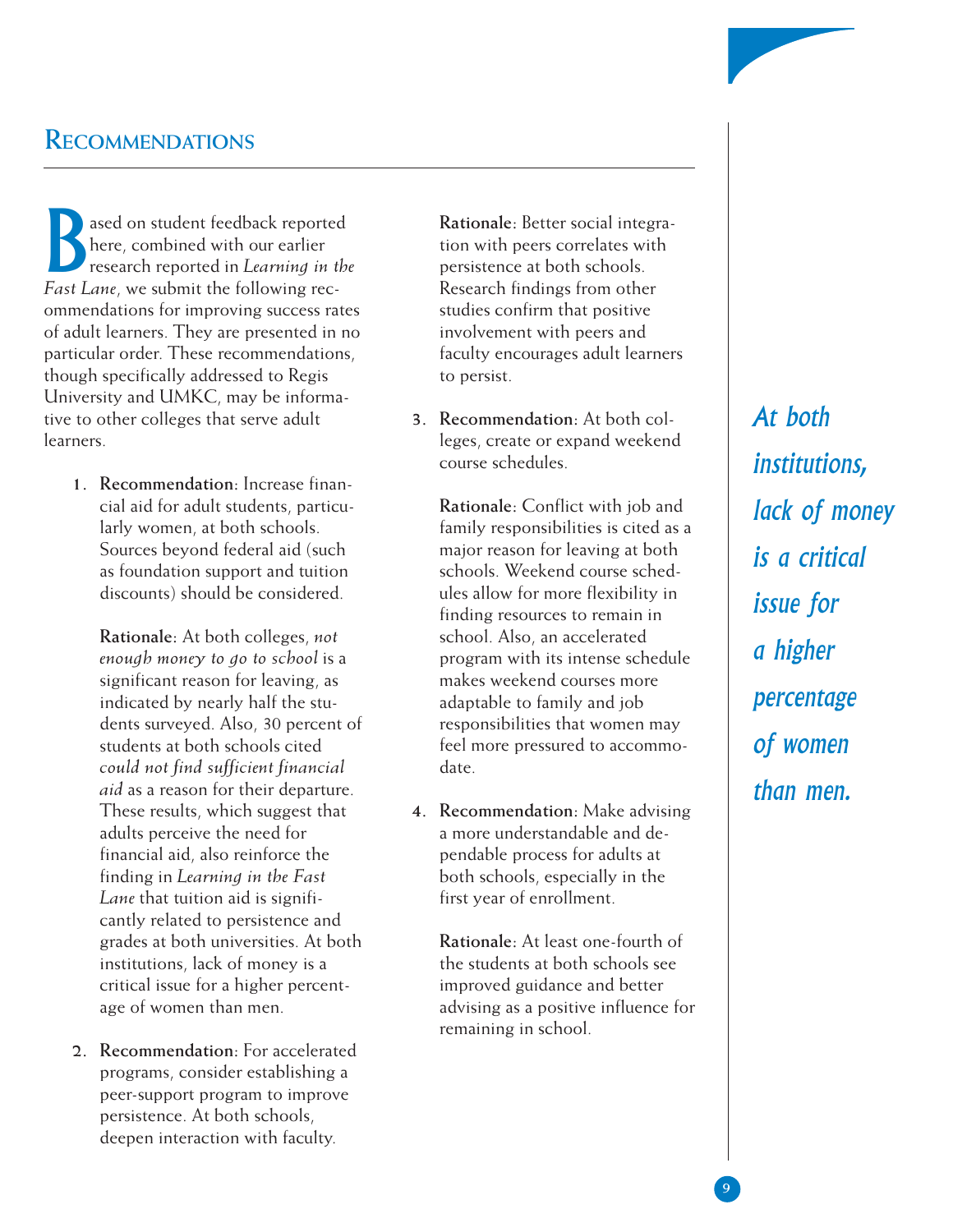## **RECOMMENDATIONS**

ased on student feedback reported here, combined with our earlier research reported in *Learning in the Fast Lane*, we submit the following recommendations for improving success rates of adult learners. They are presented in no particular order. These recommendations, though specifically addressed to Regis University and UMKC, may be informative to other colleges that serve adult learners.

**1. Recommendation:** Increase financial aid for adult students, particularly women, at both schools. Sources beyond federal aid (such as foundation support and tuition discounts) should be considered.

**Rationale:** At both colleges, *not enough money to go to school* is a significant reason for leaving, as indicated by nearly half the students surveyed. Also, 30 percent of students at both schools cited *could not find sufficient financial aid* as a reason for their departure. These results, which suggest that adults perceive the need for financial aid, also reinforce the finding in *Learning in the Fast Lane* that tuition aid is significantly related to persistence and grades at both universities. At both institutions, lack of money is a critical issue for a higher percentage of women than men.

**2. Recommendation:** For accelerated programs, consider establishing a peer-support program to improve persistence. At both schools, deepen interaction with faculty.

**Rationale:** Better social integration with peers correlates with persistence at both schools. Research findings from other studies confirm that positive involvement with peers and faculty encourages adult learners to persist.

**3. Recommendation:** At both colleges, create or expand weekend course schedules.

**Rationale:** Conflict with job and family responsibilities is cited as a major reason for leaving at both schools. Weekend course schedules allow for more flexibility in finding resources to remain in school. Also, an accelerated program with its intense schedule makes weekend courses more adaptable to family and job responsibilities that women may feel more pressured to accommodate.

**4. Recommendation:** Make advising a more understandable and dependable process for adults at both schools, especially in the first year of enrollment.

**Rationale:** At least one-fourth of the students at both schools see improved guidance and better advising as a positive influence for remaining in school.

*At both institutions, lack of money is a critical issue for a higher percentage of women than men.*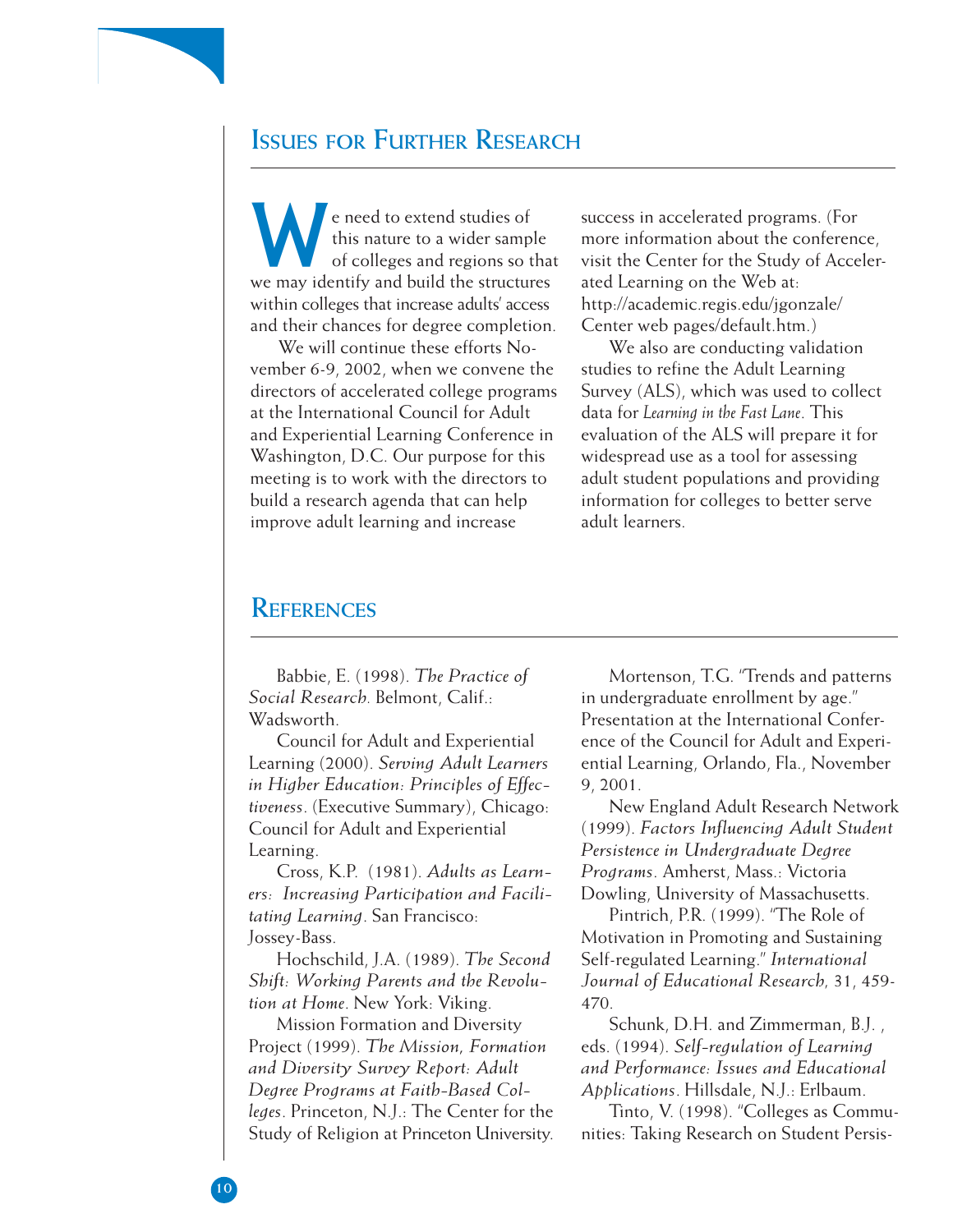## **ISSUES FOR FURTHER RESEARCH**

e need to extend studies of<br>this nature to a wider samp<br>of colleges and regions so this nature to a wider sample of colleges and regions so that we may identify and build the structures within colleges that increase adults' access and their chances for degree completion.

We will continue these efforts November 6-9, 2002, when we convene the directors of accelerated college programs at the International Council for Adult and Experiential Learning Conference in Washington, D.C. Our purpose for this meeting is to work with the directors to build a research agenda that can help improve adult learning and increase

success in accelerated programs. (For more information about the conference, visit the Center for the Study of Accelerated Learning on the Web at: http://academic.regis.edu/jgonzale/ Center web pages/default.htm.)

We also are conducting validation studies to refine the Adult Learning Survey (ALS), which was used to collect data for *Learning in the Fast Lane*. This evaluation of the ALS will prepare it for widespread use as a tool for assessing adult student populations and providing information for colleges to better serve adult learners.

## **REFERENCES**

Babbie, E. (1998). *The Practice of Social Research.* Belmont, Calif.: Wadsworth.

Council for Adult and Experiential Learning (2000). *Serving Adult Learners in Higher Education: Principles of Effectiveness*. (Executive Summary), Chicago: Council for Adult and Experiential Learning.

Cross, K.P. (1981). *Adults as Learners: Increasing Participation and Facilitating Learning*. San Francisco: Jossey-Bass.

Hochschild, J.A. (1989). *The Second Shift: Working Parents and the Revolution at Home*. New York: Viking.

Mission Formation and Diversity Project (1999). *The Mission, Formation and Diversity Survey Report: Adult Degree Programs at Faith-Based Colleges*. Princeton, N.J.: The Center for the Study of Religion at Princeton University.

Mortenson, T.G. "Trends and patterns in undergraduate enrollment by age." Presentation at the International Conference of the Council for Adult and Experiential Learning, Orlando, Fla., November 9, 2001.

New England Adult Research Network (1999). *Factors Influencing Adult Student Persistence in Undergraduate Degree Programs*. Amherst, Mass.: Victoria Dowling, University of Massachusetts.

Pintrich, P.R. (1999). "The Role of Motivation in Promoting and Sustaining Self-regulated Learning." *International Journal of Educational Research,* 31, 459- 470.

Schunk, D.H. and Zimmerman, B.J. , eds. (1994). *Self-regulation of Learning and Performance: Issues and Educational Applications*. Hillsdale, N.J.: Erlbaum.

Tinto, V. (1998). "Colleges as Communities: Taking Research on Student Persis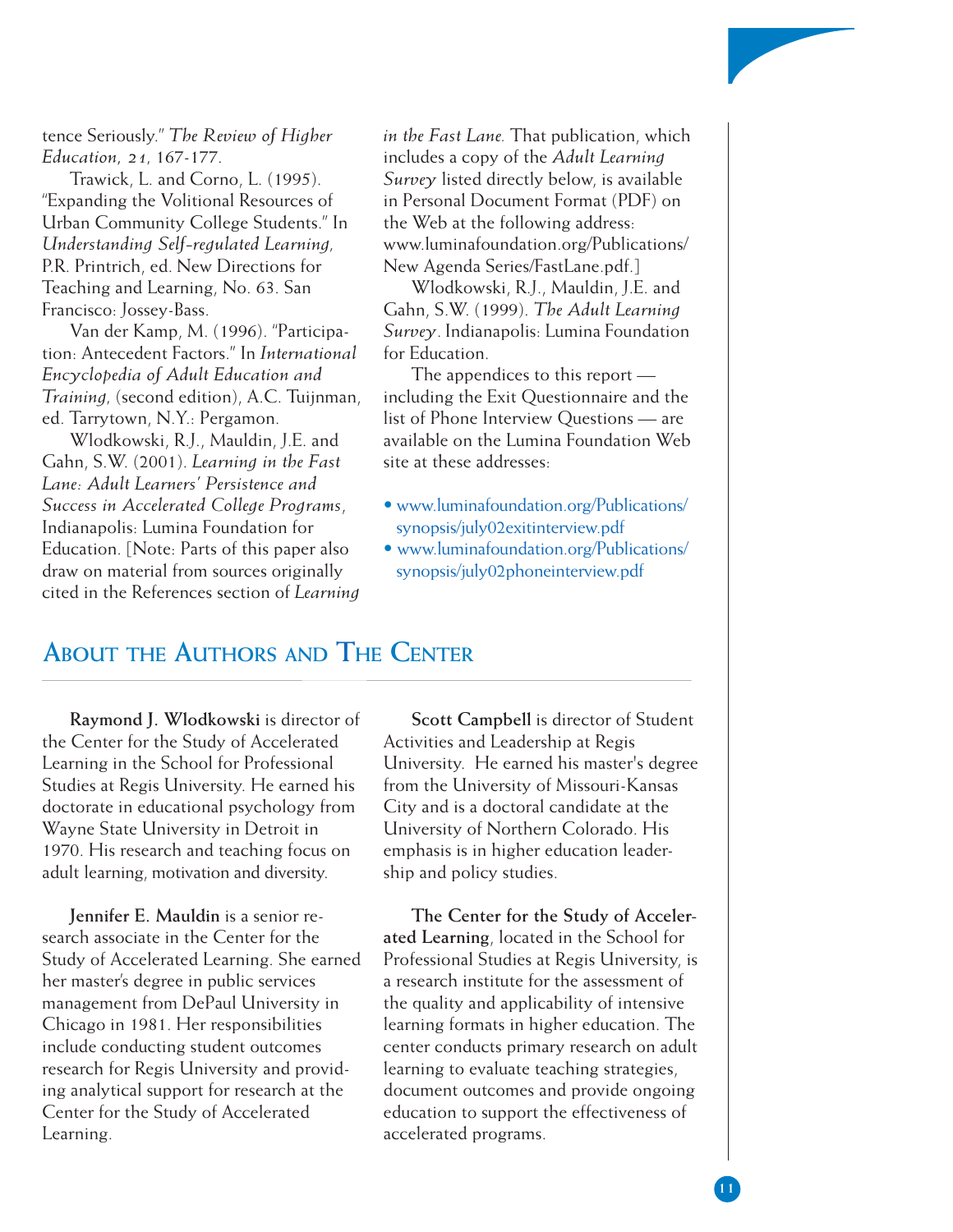tence Seriously." *The Review of Higher Education, 21,* 167-177.

Trawick, L. and Corno, L. (1995). "Expanding the Volitional Resources of Urban Community College Students." In *Understanding Self-regulated Learning,* P.R. Printrich, ed. New Directions for Teaching and Learning, No. 63. San Francisco: Jossey-Bass.

Van der Kamp, M. (1996). "Participation: Antecedent Factors." In *International Encyclopedia of Adult Education and Training,* (second edition), A.C. Tuijnman, ed. Tarrytown, N.Y.: Pergamon.

Wlodkowski, R.J., Mauldin, J.E. and Gahn, S.W. (2001). *Learning in the Fast Lane: Adult Learners' Persistence and Success in Accelerated College Programs*, Indianapolis: Lumina Foundation for Education. [Note: Parts of this paper also draw on material from sources originally cited in the References section of *Learning* *in the Fast Lane.* That publication, which includes a copy of the *Adult Learning Survey* listed directly below, is available in Personal Document Format (PDF) on the Web at the following address: www.luminafoundation.org/Publications/ New Agenda Series/FastLane.pdf.]

Wlodkowski, R.J., Mauldin, J.E. and Gahn, S.W. (1999). *The Adult Learning Survey*. Indianapolis: Lumina Foundation for Education.

The appendices to this report including the Exit Questionnaire and the list of Phone Interview Questions — are available on the Lumina Foundation Web site at these addresses:

- • [www.luminafoundation.org/Publications/](http://www.luminafoundation.org/publications/synopsis/july02exitinterview.pdf) synopsis/july02exitinterview.pdf
- • [www.luminafoundation.org/Publications/](http://www.luminafoundation.org/publications/synopsis/july02phoneinterview.pdf) synopsis/july02phoneinterview.pdf

## **ABOUT THE AUTHORS AND THE CENTER**

**Raymond J. Wlodkowski** is director of the Center for the Study of Accelerated Learning in the School for Professional Studies at Regis University. He earned his doctorate in educational psychology from Wayne State University in Detroit in 1970. His research and teaching focus on adult learning, motivation and diversity.

**Jennifer E. Mauldin** is a senior research associate in the Center for the Study of Accelerated Learning. She earned her master's degree in public services management from DePaul University in Chicago in 1981. Her responsibilities include conducting student outcomes research for Regis University and providing analytical support for research at the Center for the Study of Accelerated Learning.

**Scott Campbell** is director of Student Activities and Leadership at Regis University. He earned his master's degree from the University of Missouri-Kansas City and is a doctoral candidate at the University of Northern Colorado. His emphasis is in higher education leadership and policy studies.

**The Center for the Study of Accelerated Learning**, located in the School for Professional Studies at Regis University, is a research institute for the assessment of the quality and applicability of intensive learning formats in higher education. The center conducts primary research on adult learning to evaluate teaching strategies, document outcomes and provide ongoing education to support the effectiveness of accelerated programs.